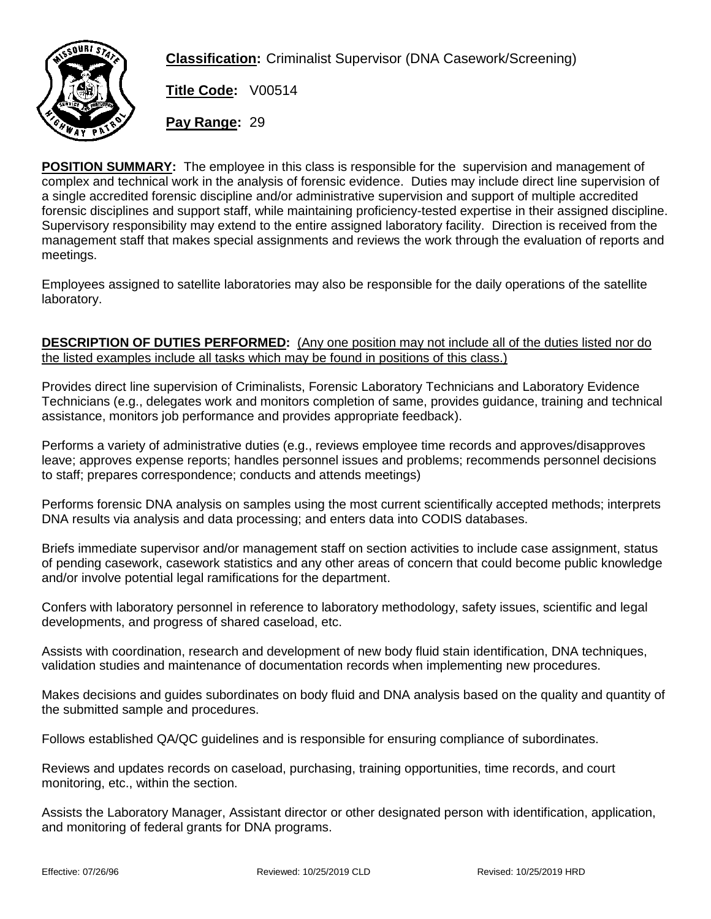

**Classification:** Criminalist Supervisor (DNA Casework/Screening)

**Title Code:** V00514

**Pay Range:** 29

**POSITION SUMMARY:** The employee in this class is responsible for the supervision and management of complex and technical work in the analysis of forensic evidence. Duties may include direct line supervision of a single accredited forensic discipline and/or administrative supervision and support of multiple accredited forensic disciplines and support staff, while maintaining proficiency-tested expertise in their assigned discipline. Supervisory responsibility may extend to the entire assigned laboratory facility. Direction is received from the management staff that makes special assignments and reviews the work through the evaluation of reports and meetings.

Employees assigned to satellite laboratories may also be responsible for the daily operations of the satellite laboratory.

## **DESCRIPTION OF DUTIES PERFORMED:** (Any one position may not include all of the duties listed nor do the listed examples include all tasks which may be found in positions of this class.)

Provides direct line supervision of Criminalists, Forensic Laboratory Technicians and Laboratory Evidence Technicians (e.g., delegates work and monitors completion of same, provides guidance, training and technical assistance, monitors job performance and provides appropriate feedback).

Performs a variety of administrative duties (e.g., reviews employee time records and approves/disapproves leave; approves expense reports; handles personnel issues and problems; recommends personnel decisions to staff; prepares correspondence; conducts and attends meetings)

Performs forensic DNA analysis on samples using the most current scientifically accepted methods; interprets DNA results via analysis and data processing; and enters data into CODIS databases.

Briefs immediate supervisor and/or management staff on section activities to include case assignment, status of pending casework, casework statistics and any other areas of concern that could become public knowledge and/or involve potential legal ramifications for the department.

Confers with laboratory personnel in reference to laboratory methodology, safety issues, scientific and legal developments, and progress of shared caseload, etc.

Assists with coordination, research and development of new body fluid stain identification, DNA techniques, validation studies and maintenance of documentation records when implementing new procedures.

Makes decisions and guides subordinates on body fluid and DNA analysis based on the quality and quantity of the submitted sample and procedures.

Follows established QA/QC guidelines and is responsible for ensuring compliance of subordinates.

Reviews and updates records on caseload, purchasing, training opportunities, time records, and court monitoring, etc., within the section.

Assists the Laboratory Manager, Assistant director or other designated person with identification, application, and monitoring of federal grants for DNA programs.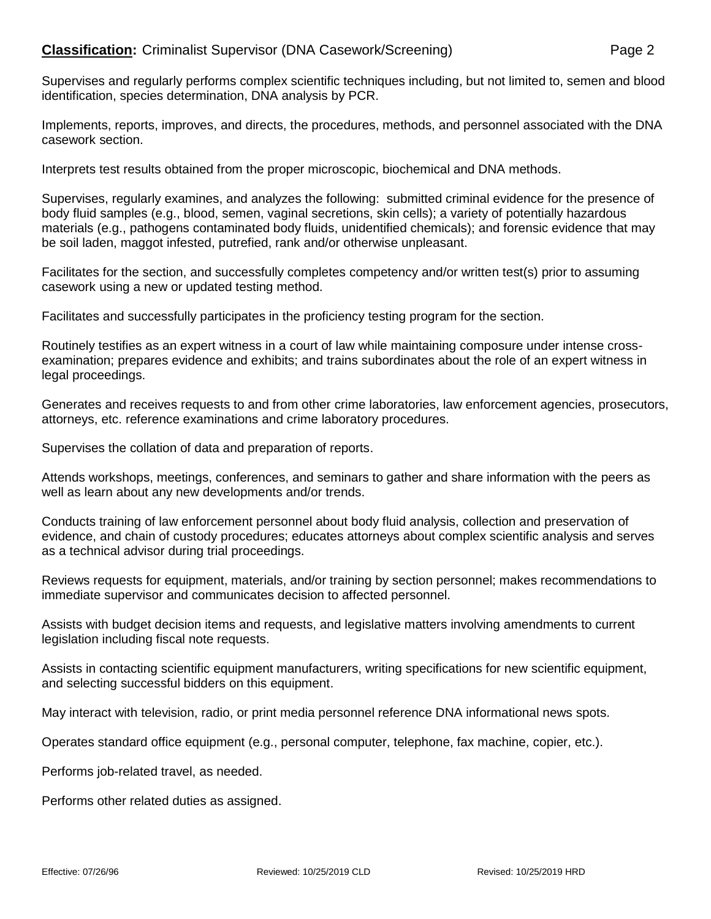## **Classification:** Criminalist Supervisor (DNA Casework/Screening) Page 2

Supervises and regularly performs complex scientific techniques including, but not limited to, semen and blood identification, species determination, DNA analysis by PCR.

Implements, reports, improves, and directs, the procedures, methods, and personnel associated with the DNA casework section.

Interprets test results obtained from the proper microscopic, biochemical and DNA methods.

Supervises, regularly examines, and analyzes the following: submitted criminal evidence for the presence of body fluid samples (e.g., blood, semen, vaginal secretions, skin cells); a variety of potentially hazardous materials (e.g., pathogens contaminated body fluids, unidentified chemicals); and forensic evidence that may be soil laden, maggot infested, putrefied, rank and/or otherwise unpleasant.

Facilitates for the section, and successfully completes competency and/or written test(s) prior to assuming casework using a new or updated testing method.

Facilitates and successfully participates in the proficiency testing program for the section.

Routinely testifies as an expert witness in a court of law while maintaining composure under intense crossexamination; prepares evidence and exhibits; and trains subordinates about the role of an expert witness in legal proceedings.

Generates and receives requests to and from other crime laboratories, law enforcement agencies, prosecutors, attorneys, etc. reference examinations and crime laboratory procedures.

Supervises the collation of data and preparation of reports.

Attends workshops, meetings, conferences, and seminars to gather and share information with the peers as well as learn about any new developments and/or trends.

Conducts training of law enforcement personnel about body fluid analysis, collection and preservation of evidence, and chain of custody procedures; educates attorneys about complex scientific analysis and serves as a technical advisor during trial proceedings.

Reviews requests for equipment, materials, and/or training by section personnel; makes recommendations to immediate supervisor and communicates decision to affected personnel.

Assists with budget decision items and requests, and legislative matters involving amendments to current legislation including fiscal note requests.

Assists in contacting scientific equipment manufacturers, writing specifications for new scientific equipment, and selecting successful bidders on this equipment.

May interact with television, radio, or print media personnel reference DNA informational news spots.

Operates standard office equipment (e.g., personal computer, telephone, fax machine, copier, etc.).

Performs job-related travel, as needed.

Performs other related duties as assigned.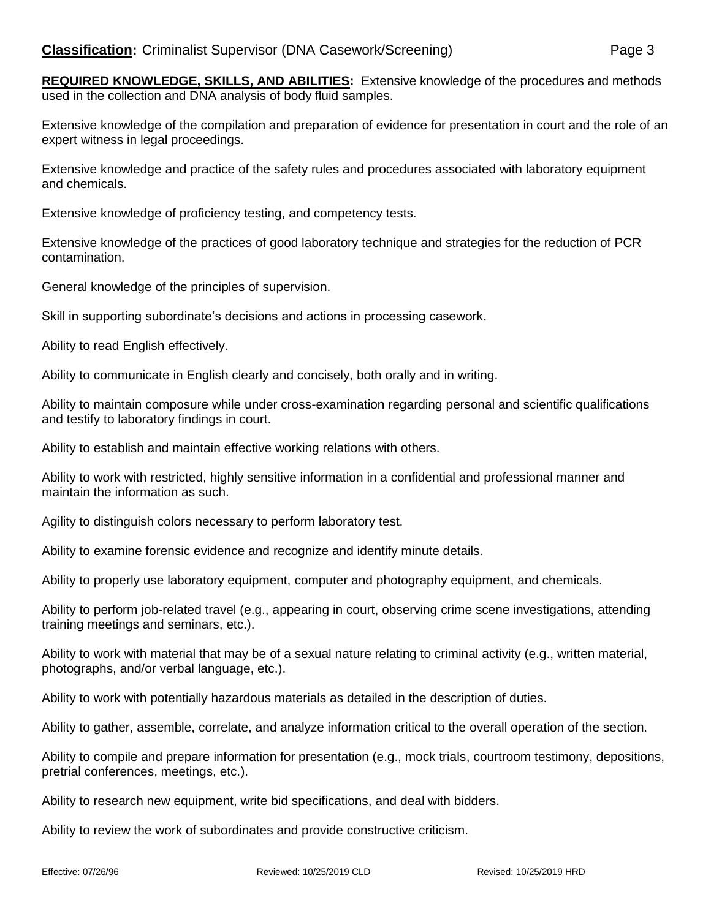**REQUIRED KNOWLEDGE, SKILLS, AND ABILITIES:** Extensive knowledge of the procedures and methods used in the collection and DNA analysis of body fluid samples.

Extensive knowledge of the compilation and preparation of evidence for presentation in court and the role of an expert witness in legal proceedings.

Extensive knowledge and practice of the safety rules and procedures associated with laboratory equipment and chemicals.

Extensive knowledge of proficiency testing, and competency tests.

Extensive knowledge of the practices of good laboratory technique and strategies for the reduction of PCR contamination.

General knowledge of the principles of supervision.

Skill in supporting subordinate's decisions and actions in processing casework.

Ability to read English effectively.

Ability to communicate in English clearly and concisely, both orally and in writing.

Ability to maintain composure while under cross-examination regarding personal and scientific qualifications and testify to laboratory findings in court.

Ability to establish and maintain effective working relations with others.

Ability to work with restricted, highly sensitive information in a confidential and professional manner and maintain the information as such.

Agility to distinguish colors necessary to perform laboratory test.

Ability to examine forensic evidence and recognize and identify minute details.

Ability to properly use laboratory equipment, computer and photography equipment, and chemicals.

Ability to perform job-related travel (e.g., appearing in court, observing crime scene investigations, attending training meetings and seminars, etc.).

Ability to work with material that may be of a sexual nature relating to criminal activity (e.g., written material, photographs, and/or verbal language, etc.).

Ability to work with potentially hazardous materials as detailed in the description of duties.

Ability to gather, assemble, correlate, and analyze information critical to the overall operation of the section.

Ability to compile and prepare information for presentation (e.g., mock trials, courtroom testimony, depositions, pretrial conferences, meetings, etc.).

Ability to research new equipment, write bid specifications, and deal with bidders.

Ability to review the work of subordinates and provide constructive criticism.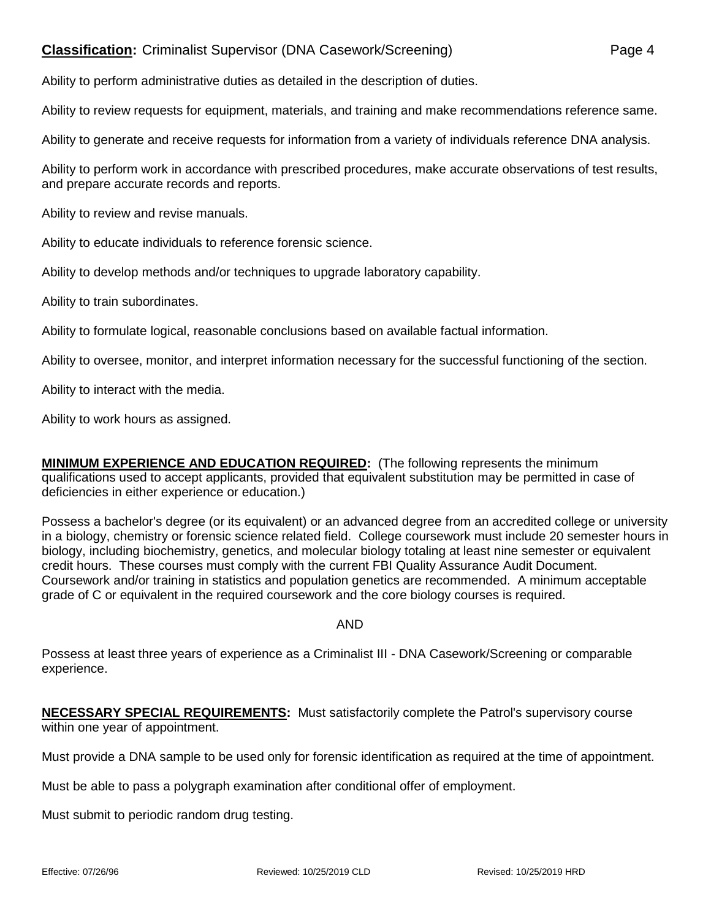## **Classification:** Criminalist Supervisor (DNA Casework/Screening) Page 4

Ability to perform administrative duties as detailed in the description of duties.

Ability to review requests for equipment, materials, and training and make recommendations reference same.

Ability to generate and receive requests for information from a variety of individuals reference DNA analysis.

Ability to perform work in accordance with prescribed procedures, make accurate observations of test results, and prepare accurate records and reports.

Ability to review and revise manuals.

Ability to educate individuals to reference forensic science.

Ability to develop methods and/or techniques to upgrade laboratory capability.

Ability to train subordinates.

Ability to formulate logical, reasonable conclusions based on available factual information.

Ability to oversee, monitor, and interpret information necessary for the successful functioning of the section.

Ability to interact with the media.

Ability to work hours as assigned.

**MINIMUM EXPERIENCE AND EDUCATION REQUIRED:** (The following represents the minimum qualifications used to accept applicants, provided that equivalent substitution may be permitted in case of deficiencies in either experience or education.)

Possess a bachelor's degree (or its equivalent) or an advanced degree from an accredited college or university in a biology, chemistry or forensic science related field. College coursework must include 20 semester hours in biology, including biochemistry, genetics, and molecular biology totaling at least nine semester or equivalent credit hours. These courses must comply with the current FBI Quality Assurance Audit Document. Coursework and/or training in statistics and population genetics are recommended. A minimum acceptable grade of C or equivalent in the required coursework and the core biology courses is required.

AND

Possess at least three years of experience as a Criminalist III - DNA Casework/Screening or comparable experience.

**NECESSARY SPECIAL REQUIREMENTS:** Must satisfactorily complete the Patrol's supervisory course within one year of appointment.

Must provide a DNA sample to be used only for forensic identification as required at the time of appointment.

Must be able to pass a polygraph examination after conditional offer of employment.

Must submit to periodic random drug testing.